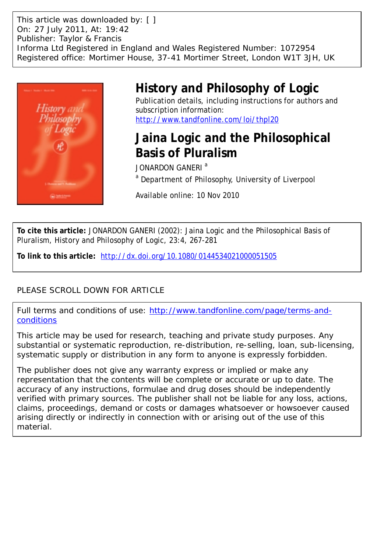This article was downloaded by: [ ] On: 27 July 2011, At: 19:42 Publisher: Taylor & Francis Informa Ltd Registered in England and Wales Registered Number: 1072954 Registered office: Mortimer House, 37-41 Mortimer Street, London W1T 3JH, UK



# **History and Philosophy of Logic**

Publication details, including instructions for authors and subscription information: <http://www.tandfonline.com/loi/thpl20>

## **Jaina Logic and the Philosophical Basis of Pluralism**

JONARDON GANERI<sup>a</sup>

<sup>a</sup> Department of Philosophy, University of Liverpool

Available online: 10 Nov 2010

**To cite this article:** JONARDON GANERI (2002): Jaina Logic and the Philosophical Basis of Pluralism, History and Philosophy of Logic, 23:4, 267-281

**To link to this article:** <http://dx.doi.org/10.1080/0144534021000051505>

### PLEASE SCROLL DOWN FOR ARTICLE

Full terms and conditions of use: [http://www.tandfonline.com/page/terms-and](http://www.tandfonline.com/page/terms-and-conditions)[conditions](http://www.tandfonline.com/page/terms-and-conditions)

This article may be used for research, teaching and private study purposes. Any substantial or systematic reproduction, re-distribution, re-selling, loan, sub-licensing, systematic supply or distribution in any form to anyone is expressly forbidden.

The publisher does not give any warranty express or implied or make any representation that the contents will be complete or accurate or up to date. The accuracy of any instructions, formulae and drug doses should be independently verified with primary sources. The publisher shall not be liable for any loss, actions, claims, proceedings, demand or costs or damages whatsoever or howsoever caused arising directly or indirectly in connection with or arising out of the use of this material.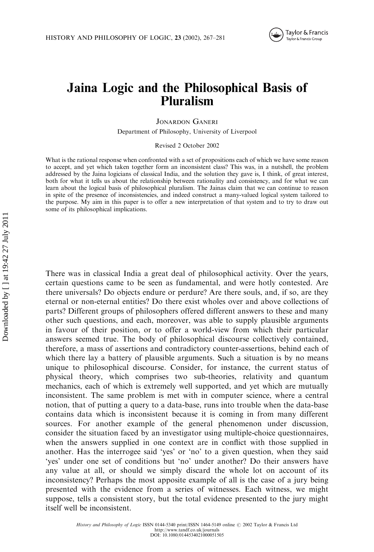

### Jaina Logic and the Philosophical Basis of Pluralism

JONARDON GANERI

Department of Philosophy, University of Liverpool

#### Revised 2 October 2002

What is the rational response when confronted with a set of propositions each of which we have some reason to accept, and yet which taken together form an inconsistent class? This was, in a nutshell, the problem addressed by the Jaina logicians of classical India, and the solution they gave is, I think, of great interest, both for what it tells us about the relationship between rationality and consistency, and for what we can learn about the logical basis of philosophical pluralism. The Jainas claim that we can continue to reason in spite of the presence of inconsistencies, and indeed construct a many-valued logical system tailored to the purpose. My aim in this paper is to offer a new interpretation of that system and to try to draw out some of its philosophical implications.

There was in classical India a great deal of philosophical activity. Over the years, certain questions came to be seen as fundamental, and were hotly contested. Are there universals? Do objects endure or perdure? Are there souls, and, if so, are they eternal or non-eternal entities? Do there exist wholes over and above collections of parts? Different groups of philosophers offered different answers to these and many other such questions, and each, moreover, was able to supply plausible arguments in favour of their position, or to offer a world-view from which their particular answers seemed true. The body of philosophical discourse collectively contained, therefore, a mass of assertions and contradictory counter-assertions, behind each of which there lay a battery of plausible arguments. Such a situation is by no means unique to philosophical discourse. Consider, for instance, the current status of physical theory, which comprises two sub-theories, relativity and quantum mechanics, each of which is extremely well supported, and yet which are mutually inconsistent. The same problem is met with in computer science, where a central notion, that of putting a query to a data-base, runs into trouble when the data-base contains data which is inconsistent because it is coming in from many different sources. For another example of the general phenomenon under discussion, consider the situation faced by an investigator using multiple-choice questionnaires, when the answers supplied in one context are in conflict with those supplied in another. Has the interrogee said `yes' or `no' to a given question, when they said `yes' under one set of conditions but `no' under another? Do their answers have any value at all, or should we simply discard the whole lot on account of its inconsistency? Perhaps the most apposite example of all is the case of a jury being presented with the evidence from a series of witnesses. Each witness, we might suppose, tells a consistent story, but the total evidence presented to the jury might itself well be inconsistent.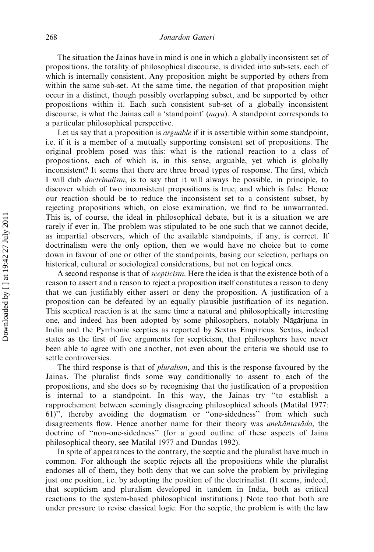The situation the Jainas have in mind is one in which a globally inconsistent set of propositions, the totality of philosophical discourse, is divided into sub-sets, each of which is internally consistent. Any proposition might be supported by others from within the same sub-set. At the same time, the negation of that proposition might occur in a distinct, though possibly overlapping subset, and be supported by other propositions within it. Each such consistent sub-set of a globally inconsistent discourse, is what the Jainas call a 'standpoint'  $(naya)$ . A standpoint corresponds to a particular philosophical perspective.

Let us say that a proposition is *arguable* if it is assertible within some standpoint, i.e. if it is a member of a mutually supporting consistent set of propositions. The original problem posed was this: what is the rational reaction to a class of propositions, each of which is, in this sense, arguable, yet which is globally inconsistent? It seems that there are three broad types of response. The first, which I will dub doctrinalism, is to say that it will always be possible, in principle, to discover which of two inconsistent propositions is true, and which is false. Hence our reaction should be to reduce the inconsistent set to a consistent subset, by rejecting propositions which, on close examination, we find to be unwarranted. This is, of course, the ideal in philosophical debate, but it is a situation we are rarely if ever in. The problem was stipulated to be one such that we cannot decide, as impartial observers, which of the available standpoints, if any, is correct. If doctrinalism were the only option, then we would have no choice but to come down in favour of one or other of the standpoints, basing our selection, perhaps on historical, cultural or sociological considerations, but not on logical ones.

A second response is that of scepticism. Here the idea is that the existence both of a reason to assert and a reason to reject a proposition itself constitutes a reason to deny that we can justifiably either assert or deny the proposition. A justification of a proposition can be defeated by an equally plausible justification of its negation. This sceptical reaction is at the same time a natural and philosophically interesting one, and indeed has been adopted by some philosophers, notably Nagarjuna in India and the Pyrrhonic sceptics as reported by Sextus Empiricus. Sextus, indeed states as the first of five arguments for scepticism, that philosophers have never been able to agree with one another, not even about the criteria we should use to settle controversies.

The third response is that of *pluralism*, and this is the response favoured by the Jainas. The pluralist finds some way conditionally to assent to each of the propositions, and she does so by recognising that the justification of a proposition is internal to a standpoint. In this way, the Jainas try "to establish a rapprochement between seemingly disagreeing philosophical schools (Matilal 1977: 61)'', thereby avoiding the dogmatism or ``one-sidedness'' from which such disagreements flow. Hence another name for their theory was anekāntavāda, the doctrine of "non-one-sidedness" (for a good outline of these aspects of Jaina philosophical theory, see Matilal 1977 and Dundas 1992).

In spite of appearances to the contrary, the sceptic and the pluralist have much in common. For although the sceptic rejects all the propositions while the pluralist endorses all of them, they both deny that we can solve the problem by privileging just one position, i.e. by adopting the position of the doctrinalist. (It seems, indeed, that scepticism and pluralism developed in tandem in India, both as critical reactions to the system-based philosophical institutions.) Note too that both are under pressure to revise classical logic. For the sceptic, the problem is with the law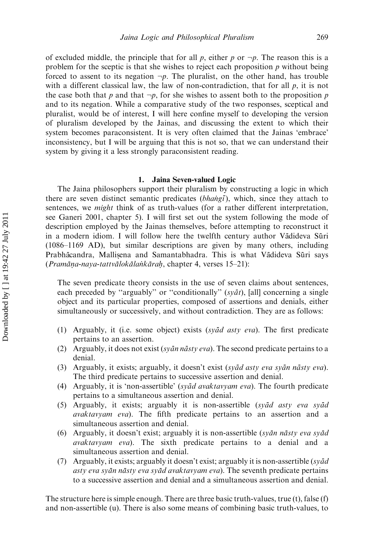of excluded middle, the principle that for all p, either p or  $\neg p$ . The reason this is a problem for the sceptic is that she wishes to reject each proposition  $p$  without being forced to assent to its negation  $\neg p$ . The pluralist, on the other hand, has trouble with a different classical law, the law of non-contradiction, that for all  $p$ , it is not the case both that p and that  $\neg p$ , for she wishes to assent both to the proposition p and to its negation. While a comparative study of the two responses, sceptical and pluralist, would be of interest, I will here confine myself to developing the version of pluralism developed by the Jainas, and discussing the extent to which their system becomes paraconsistent. It is very often claimed that the Jainas 'embrace' inconsistency, but I will be arguing that this is not so, that we can understand their system by giving it a less strongly paraconsistent reading.

#### 1. Jaina Seven-valued Logic

The Jaina philosophers support their pluralism by constructing a logic in which I he Jaina philosophers support their pluralism by constructing a logic in which<br>there are seven distinct semantic predicates *(bhangi)*, which, since they attach to sentences, we *might* think of as truth-values (for a rather different interpretation, see Ganeri 2001, chapter 5). I will first set out the system following the mode of description employed by the Jainas themselves, before attempting to reconstruct it in a modern idiom. I will follow here the twelfth century author Vādideva Sūri  $(1086–1169$  AD), but similar descriptions are given by many others, including Prabhācandra, Mallisena and Samantabhadra. This is what Vādideva Sūri says rab. aastala alut samandonaana. This is when (Pramāņa-naya-tattvālokālankārah, chapter 4, verses 15–21):

The seven predicate theory consists in the use of seven claims about sentences, each preceded by "arguably" or "conditionally" (syat), [all] concerning a single object and its particular properties, composed of assertions and denials, either simultaneously or successively, and without contradiction. They are as follows:

- (1) Arguably, it (i.e. some object) exists (syad asty eva). The first predicate pertains to an assertion.
- (2) Arguably, it does not exist (syan nasty eva). The second predicate pertains to a denial.
- (3) Arguably, it exists; arguably, it doesn't exist (syad asty eva syan nasty eva). The third predicate pertains to successive assertion and denial.
- (4) Arguably, it is 'non-assertible' (syad avaktavyam eva). The fourth predicate pertains to a simultaneous assertion and denial.
- (5) Arguably, it exists; arguably it is non-assertible (sydd asty eva sydd avaktavyam eva). The fifth predicate pertains to an assertion and a simultaneous assertion and denial.
- (6) Arguably, it doesn't exist; arguably it is non-assertible (syan nasty eva syad avaktavyam eva). The sixth predicate pertains to a denial and a simultaneous assertion and denial.
- (7) Arguably, it exists; arguably it doesn't exist; arguably it is non-assertible (sydd) asty eva syān nāsty eva syād avaktavyam eva). The seventh predicate pertains to a successive assertion and denial and a simultaneous assertion and denial.

The structure here is simple enough. There are three basic truth-values, true (t), false (f) and non-assertible (u). There is also some means of combining basic truth-values, to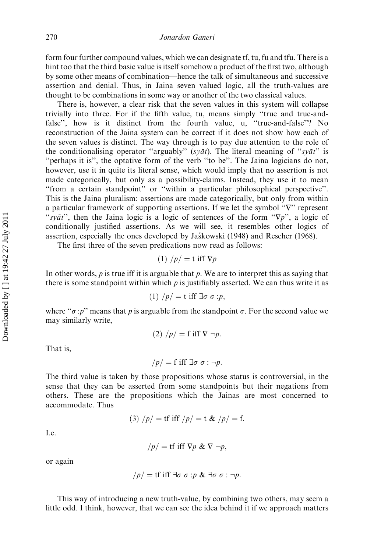form four further compound values, which we can designate tf, tu, fu and tfu. There is a hint too that the third basic value is itself somehow a product of the first two, although by some other means of combination—hence the talk of simultaneous and successive assertion and denial. Thus, in Jaina seven valued logic, all the truth-values are thought to be combinations in some way or another of the two classical values.

There is, however, a clear risk that the seven values in this system will collapse trivially into three. For if the fifth value, tu, means simply "true and true-andfalse", how is it distinct from the fourth value, u, "true-and-false"? No reconstruction of the Jaina system can be correct if it does not show how each of the seven values is distinct. The way through is to pay due attention to the role of the conditionalising operator "arguably" (sydt). The literal meaning of "sydt" is "perhaps it is", the optative form of the verb "to be". The Jaina logicians do not, however, use it in quite its literal sense, which would imply that no assertion is not made categorically, but only as a possibility-claims. Instead, they use it to mean ``from a certain standpoint'' or ``within a particular philosophical perspective''. This is the Jaina pluralism: assertions are made categorically, but only from within a particular framework of supporting assertions. If we let the symbol  $\lq \nabla$  represent "syāt", then the Jaina logic is a logic of sentences of the form " $\nabla p$ ", a logic of conditionally justified assertions. As we will see, it resembles other logics of assertion, especially the ones developed by Jaskowski (1948) and Rescher (1968).

The first three of the seven predications now read as follows:

$$
(1) / p / = t \text{ iff } \nabla p
$$

In other words,  $p$  is true iff it is arguable that  $p$ . We are to interpret this as saying that there is some standpoint within which  $p$  is justifiably asserted. We can thus write it as

$$
(1) / p / = t \text{ iff } \exists \sigma \ \sigma : p,
$$

where " $\sigma$ : p" means that p is arguable from the standpoint  $\sigma$ . For the second value we may similarly write,

$$
(2) /p/ = f \text{ iff } \nabla \neg p.
$$

That is,

$$
/p/ = f \text{ iff } \exists \sigma \ \sigma : \neg p.
$$

The third value is taken by those propositions whose status is controversial, in the sense that they can be asserted from some standpoints but their negations from others. These are the propositions which the Jainas are most concerned to accommodate. Thus

(3) 
$$
/p/ =
$$
 tf iff  $/p/ =$  t &  $/p/ =$  f.

I.e.

$$
/p/ = \text{tf iff } \nabla p \& \nabla \neg p,
$$

or again

$$
/p/ = \text{tf iff } \exists \sigma \ \sigma : p \ \& \ \exists \sigma \ \sigma : \neg p.
$$

This way of introducing a new truth-value, by combining two others, may seem a little odd. I think, however, that we can see the idea behind it if we approach matters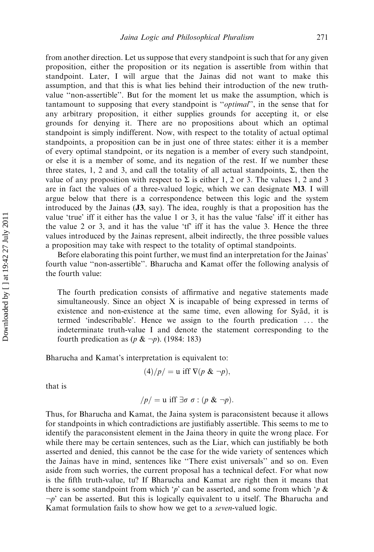from another direction. Let us suppose that every standpoint is such that for any given proposition, either the proposition or its negation is assertible from within that standpoint. Later, I will argue that the Jainas did not want to make this assumption, and that this is what lies behind their introduction of the new truthvalue "non-assertible". But for the moment let us make the assumption, which is tantamount to supposing that every standpoint is "optimal", in the sense that for any arbitrary proposition, it either supplies grounds for accepting it, or else grounds for denying it. There are no propositions about which an optimal standpoint is simply indifferent. Now, with respect to the totality of actual optimal standpoints, a proposition can be in just one of three states: either it is a member of every optimal standpoint, or its negation is a member of every such standpoint, or else it is a member of some, and its negation of the rest. If we number these three states, 1, 2 and 3, and call the totality of all actual standpoints,  $\Sigma$ , then the value of any proposition with respect to  $\Sigma$  is either 1, 2 or 3. The values 1, 2 and 3 are in fact the values of a three-valued logic, which we can designate M3. I will argue below that there is a correspondence between this logic and the system introduced by the Jainas (J3, say). The idea, roughly is that a proposition has the value 'true' iff it either has the value 1 or 3, it has the value 'false' iff it either has the value 2 or 3, and it has the value `tf' iff it has the value 3. Hence the three values introduced by the Jainas represent, albeit indirectly, the three possible values a proposition may take with respect to the totality of optimal standpoints.

Before elaborating this point further, we must find an interpretation for the Jainas' fourth value "non-assertible". Bharucha and Kamat offer the following analysis of the fourth value:

The fourth predication consists of affirmative and negative statements made simultaneously. Since an object X is incapable of being expressed in terms of existence and non-existence at the same time, even allowing for Syad, it is termed `indescribable'. Hence we assign to the fourth predication . . . the indeterminate truth-value I and denote the statement corresponding to the fourth predication as  $(p \& \neg p)$ . (1984: 183)

Bharucha and Kamat's interpretation is equivalent to:

$$
(4)/p/ = u \text{ iff } \nabla(p \& \neg p),
$$

that is

$$
/p/ = u \text{ iff } \exists \sigma \ \sigma : (p \& \neg p).
$$

Thus, for Bharucha and Kamat, the Jaina system is paraconsistent because it allows for standpoints in which contradictions are justifiably assertible. This seems to me to identify the paraconsistent element in the Jaina theory in quite the wrong place. For while there may be certain sentences, such as the Liar, which can justifiably be both asserted and denied, this cannot be the case for the wide variety of sentences which the Jainas have in mind, sentences like ``There exist universals'' and so on. Even aside from such worries, the current proposal has a technical defect. For what now is the fifth truth-value, tu? If Bharucha and Kamat are right then it means that there is some standpoint from which 'p' can be asserted, and some from which 'p  $\&$  $\neg p'$  can be asserted. But this is logically equivalent to u itself. The Bharucha and Kamat formulation fails to show how we get to a seven-valued logic.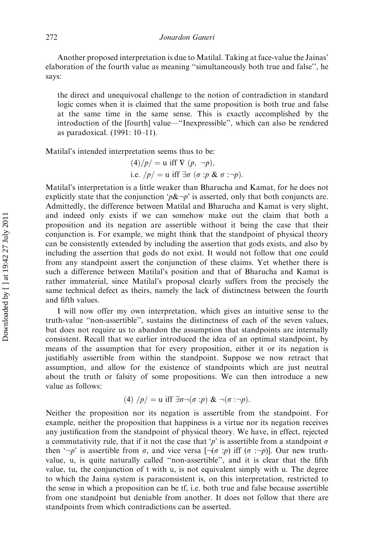Another proposed interpretation is due to Matilal. Taking at face-value the Jainas' elaboration of the fourth value as meaning "simultaneously both true and false", he says:

the direct and unequivocal challenge to the notion of contradiction in standard logic comes when it is claimed that the same proposition is both true and false at the same time in the same sense. This is exactly accomplished by the introduction of the [fourth] value—"Inexpressible", which can also be rendered as paradoxical. (1991: 10-11).

Matilal's intended interpretation seems thus to be:

$$
(4)/p = u \text{ iff } \nabla (p, \neg p),
$$
  
i.e.  $/p = u \text{ iff } \exists \sigma (\sigma : p \& \sigma : \neg p).$ 

Matilal's interpretation is a little weaker than Bharucha and Kamat, for he does not explicitly state that the conjunction ' $p\&\neg p$ ' is asserted, only that both conjuncts are. Admittedly, the difference between Matilal and Bharucha and Kamat is very slight, and indeed only exists if we can somehow make out the claim that both a proposition and its negation are assertible without it being the case that their conjunction is. For example, we might think that the standpoint of physical theory can be consistently extended by including the assertion that gods exists, and also by including the assertion that gods do not exist. It would not follow that one could from any standpoint assert the conjunction of these claims. Yet whether there is such a difference between Matilal's position and that of Bharucha and Kamat is rather immaterial, since Matilal's proposal clearly suffers from the precisely the same technical defect as theirs, namely the lack of distinctness between the fourth and fifth values.

I will now offer my own interpretation, which gives an intuitive sense to the truth-value "non-assertible", sustains the distinctness of each of the seven values, but does not require us to abandon the assumption that standpoints are internally consistent. Recall that we earlier introduced the idea of an optimal standpoint, by means of the assumption that for every proposition, either it or its negation is justifiably assertible from within the standpoint. Suppose we now retract that assumption, and allow for the existence of standpoints which are just neutral about the truth or falsity of some propositions. We can then introduce a new value as follows:

(4) 
$$
/p/ = u
$$
 iff  $\exists \sigma \neg (\sigma : p) \& \neg (\sigma : \neg p)$ .

Neither the proposition nor its negation is assertible from the standpoint. For example, neither the proposition that happiness is a virtue nor its negation receives any justification from the standpoint of physical theory. We have, in effect, rejected a commutativity rule, that if it not the case that 'p' is assertible from a standpoint  $\sigma$ then ' $\neg p$ ' is assertible from  $\sigma$ , and vice versa  $[\neg(\sigma : p)$  iff  $(\sigma : \neg p)]$ . Our new truthvalue, u, is quite naturally called "non-assertible", and it is clear that the fifth value, tu, the conjunction of t with u, is not equivalent simply with u. The degree to which the Jaina system is paraconsistent is, on this interpretation, restricted to the sense in which a proposition can be tf, i.e. both true and false because assertible from one standpoint but deniable from another. It does not follow that there are standpoints from which contradictions can be asserted.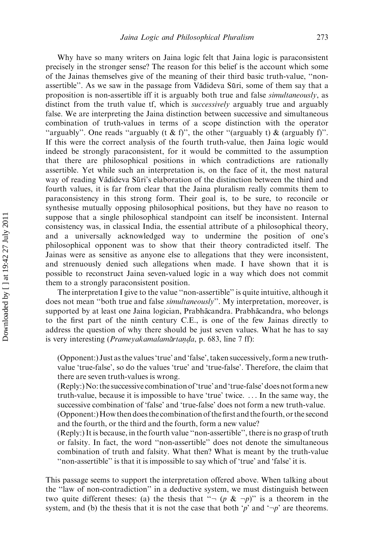Why have so many writers on Jaina logic felt that Jaina logic is paraconsistent precisely in the stronger sense? The reason for this belief is the account which some of the Jainas themselves give of the meaning of their third basic truth-value, ``nonassertible". As we saw in the passage from  $\overline{V}$  adideva Suri, some of them say that a proposition is non-assertible iff it is arguably both true and false simultaneously, as distinct from the truth value tf, which is *successively* arguably true and arguably false. We are interpreting the Jaina distinction between successive and simultaneous combination of truth-values in terms of a scope distinction with the operator "arguably". One reads "arguably (t & f)", the other "(arguably t) & (arguably f)". If this were the correct analysis of the fourth truth-value, then Jaina logic would indeed be strongly paraconsistent, for it would be committed to the assumption that there are philosophical positions in which contradictions are rationally assertible. Yet while such an interpretation is, on the face of it, the most natural way of reading Vādideva Sūri's elaboration of the distinction between the third and fourth values, it is far from clear that the Jaina pluralism really commits them to paraconsistency in this strong form. Their goal is, to be sure, to reconcile or synthesise mutually opposing philosophical positions, but they have no reason to suppose that a single philosophical standpoint can itself be inconsistent. Internal consistency was, in classical India, the essential attribute of a philosophical theory, and a universally acknowledged way to undermine the position of one's philosophical opponent was to show that their theory contradicted itself. The Jainas were as sensitive as anyone else to allegations that they were inconsistent, and strenuously denied such allegations when made. I have shown that it is possible to reconstruct Jaina seven-valued logic in a way which does not commit them to a strongly paraconsistent position.

The interpretation I give to the value "non-assertible" is quite intuitive, although it does not mean "both true and false *simultaneously*". My interpretation, moreover, is supported by at least one Jaina logician, Prabhācandra. Prabhācandra, who belongs to the first part of the ninth century C.E., is one of the few Jainas directly to address the question of why there should be just seven values. What he has to say is very interesting (Prameyakamalamārtaṇḍa, p. 683, line 7 ff):

(Opponent:) Just as the values `true' and `false', taken successively, form a new truthvalue `true-false', so do the values `true' and `true-false'. Therefore, the claim that there are seven truth-values is wrong.

(Reply:)No: the successive combination of`true' and`true-false' does not form a new truth-value, because it is impossible to have `true' twice. . . . In the same way, the successive combination of 'false' and 'true-false' does not form a new truth-value.

(Opponent:) How then does the combination of the first and the fourth, or the second and the fourth, or the third and the fourth, form a new value?

(Reply:) It is because, in the fourth value ``non-assertible'', there is no grasp of truth or falsity. In fact, the word "non-assertible" does not denote the simultaneous combination of truth and falsity. What then? What is meant by the truth-value ``non-assertible'' is that it is impossible to say which of `true' and `false' it is.

This passage seems to support the interpretation offered above. When talking about the ``law of non-contradiction'' in a deductive system, we must distinguish between two quite different theses: (a) the thesis that " $\neg$  (p &  $\neg$ p)" is a theorem in the system, and (b) the thesis that it is not the case that both 'p' and ' $\neg p$ ' are theorems.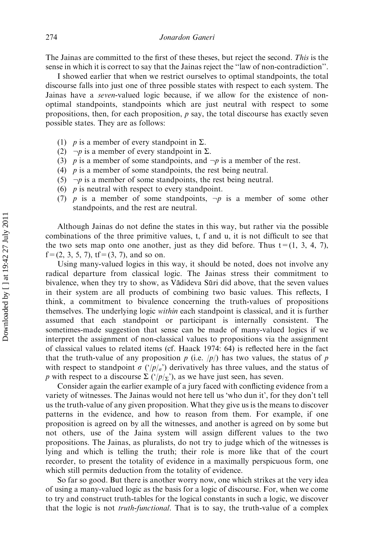The Jainas are committed to the first of these theses, but reject the second. This is the sense in which it is correct to say that the Jainas reject the "law of non-contradiction".

I showed earlier that when we restrict ourselves to optimal standpoints, the total discourse falls into just one of three possible states with respect to each system. The Jainas have a *seven*-valued logic because, if we allow for the existence of nonoptimal standpoints, standpoints which are just neutral with respect to some propositions, then, for each proposition,  $p$  say, the total discourse has exactly seven possible states. They are as follows:

- (1) *p* is a member of every standpoint in  $\Sigma$ .
- (2)  $\neg p$  is a member of every standpoint in  $\Sigma$ .
- (3) p is a member of some standpoints, and  $\neg p$  is a member of the rest.
- (4)  $p$  is a member of some standpoints, the rest being neutral.
- (5)  $\neg p$  is a member of some standpoints, the rest being neutral.
- (6)  $p$  is neutral with respect to every standpoint.
- (7) p is a member of some standpoints,  $\neg p$  is a member of some other standpoints, and the rest are neutral.

Although Jainas do not define the states in this way, but rather via the possible combinations of the three primitive values,  $t$ ,  $f$  and  $u$ , it is not difficult to see that the two sets map onto one another, just as they did before. Thus  $t=(1, 3, 4, 7)$ ,  $f=(2, 3, 5, 7), \text{ if }=(3, 7), \text{ and so on.}$ 

Using many-valued logics in this way, it should be noted, does not involve any radical departure from classical logic. The Jainas stress their commitment to bivalence, when they try to show, as Vadideva Suri did above, that the seven values in their system are all products of combining two basic values. This reflects, I think, a commitment to bivalence concerning the truth-values of propositions themselves. The underlying logic within each standpoint is classical, and it is further assumed that each standpoint or participant is internally consistent. The sometimes-made suggestion that sense can be made of many-valued logics if we interpret the assignment of non-classical values to propositions via the assignment of classical values to related items (cf. Haack 1974: 64) is reflected here in the fact that the truth-value of any proposition p (i.e.  $|p|$ ) has two values, the status of p with respect to standpoint  $\sigma('p/s')$  derivatively has three values, and the status of p with respect to a discourse  $\Sigma$  (' $/p/\Sigma$ '), as we have just seen, has seven.

Consider again the earlier example of a jury faced with conflicting evidence from a variety of witnesses. The Jainas would not here tell us `who dun it', for they don't tell us the truth-value of any given proposition. What they give us is the means to discover patterns in the evidence, and how to reason from them. For example, if one proposition is agreed on by all the witnesses, and another is agreed on by some but not others, use of the Jaina system will assign different values to the two propositions. The Jainas, as pluralists, do not try to judge which of the witnesses is lying and which is telling the truth; their role is more like that of the court recorder, to present the totality of evidence in a maximally perspicuous form, one which still permits deduction from the totality of evidence.

So far so good. But there is another worry now, one which strikes at the very idea of using a many-valued logic as the basis for a logic of discourse. For, when we come to try and construct truth-tables for the logical constants in such a logic, we discover that the logic is not truth-functional. That is to say, the truth-value of a complex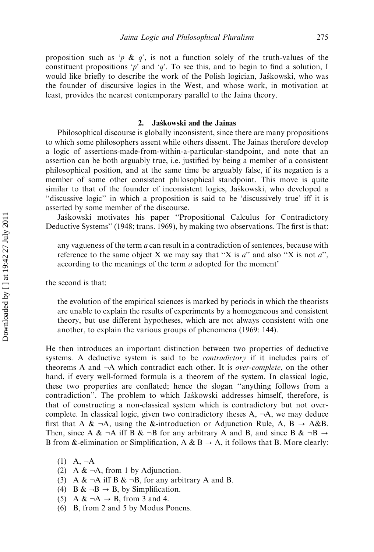proposition such as 'p & q', is not a function solely of the truth-values of the constituent propositions 'p' and 'q'. To see this, and to begin to find a solution, I would like briefly to describe the work of the Polish logician, Jaskowski, who was the founder of discursive logics in the West, and whose work, in motivation at least, provides the nearest contemporary parallel to the Jaina theory.

#### 2. Jaśkowski and the Jainas

Philosophical discourse is globally inconsistent, since there are many propositions to which some philosophers assent while others dissent. The Jainas therefore develop a logic of assertions-made-from-within-a-particular-standpoint, and note that an assertion can be both arguably true, i.e. justified by being a member of a consistent philosophical position, and at the same time be arguably false, if its negation is a member of some other consistent philosophical standpoint. This move is quite similar to that of the founder of inconsistent logics, Jaskowski, who developed a ``discussive logic'' in which a proposition is said to be `discussively true' iff it is asserted by some member of the discourse.

Jaskowski motivates his paper "Propositional Calculus for Contradictory Deductive Systems" (1948; trans. 1969), by making two observations. The first is that:

any vagueness of the term a can result in a contradiction of sentences, because with reference to the same object X we may say that "X is  $a$ " and also "X is not  $a$ ", according to the meanings of the term a adopted for the moment'

the second is that:

the evolution of the empirical sciences is marked by periods in which the theorists are unable to explain the results of experiments by a homogeneous and consistent theory, but use different hypotheses, which are not always consistent with one another, to explain the various groups of phenomena (1969: 144).

He then introduces an important distinction between two properties of deductive systems. A deductive system is said to be *contradictory* if it includes pairs of theorems A and  $\neg$ A which contradict each other. It is *over-complete*, on the other hand, if every well-formed formula is a theorem of the system. In classical logic, these two properties are conflated; hence the slogan "anything follows from a contradiction". The problem to which Jaskowski addresses himself, therefore, is that of constructing a non-classical system which is contradictory but not overcomplete. In classical logic, given two contradictory theses  $A$ ,  $\neg A$ , we may deduce first that A &  $\neg A$ , using the &-introduction or Adjunction Rule, A, B  $\rightarrow$  A&B. Then, since A &  $\neg$ A iff B &  $\neg$ B for any arbitrary A and B, and since B &  $\neg$ B  $\rightarrow$ B from &-elimination or Simplification, A & B  $\rightarrow$  A, it follows that B. More clearly:

 $(1)$  A,  $\neg A$ 

- (2) A  $\▵$   $\neg A$ , from 1 by Adjunction.
- (3) A &  $\neg A$  iff B &  $\neg B$ , for any arbitrary A and B.
- (4) B &  $\neg B \rightarrow B$ , by Simplification.
- (5) A &  $\neg A \rightarrow B$ , from 3 and 4.
- (6) B, from 2 and 5 by Modus Ponens.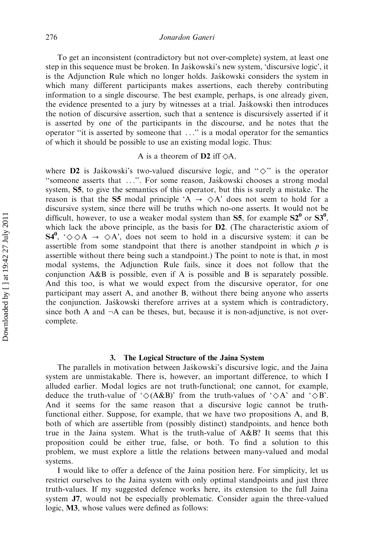To get an inconsistent (contradictory but not over-complete) system, at least one step in this sequence must be broken. In Jaskowski's new system, 'discursive logic', it is the Adjunction Rule which no longer holds. Jaskowski considers the system in which many different participants makes assertions, each thereby contributing information to a single discourse. The best example, perhaps, is one already given, the evidence presented to a jury by witnesses at a trial. Jaskowski then introduces the notion of discursive assertion, such that a sentence is discursively asserted if it is asserted by one of the participants in the discourse, and he notes that the operator "it is asserted by someone that ..." is a modal operator for the semantics of which it should be possible to use an existing modal logic. Thus:

#### A is a theorem of **D2** iff  $\Diamond A$ ,

where **D2** is Jaskowski's two-valued discursive logic, and  $\sim$ <sup>'</sup> $\Diamond$ '' is the operator "someone asserts that ...". For some reason, Jaskowski chooses a strong modal system, S5, to give the semantics of this operator, but this is surely a mistake. The reason is that the S5 modal principle 'A  $\rightarrow \Diamond A'$  does not seem to hold for a discursive system, since there will be truths which no-one asserts. It would not be difficult, however, to use a weaker modal system than S5, for example  $S2^0$  or  $S3^0$ , which lack the above principle, as the basis for **D2**. (The characteristic axiom of  $S4^0$ ,  $\Diamond \Diamond A \rightarrow \Diamond A'$ , does not seem to hold in a discursive system: it can be assertible from some standpoint that there is another standpoint in which  $p$  is assertible without there being such a standpoint.) The point to note is that, in most modal systems, the Adjunction Rule fails, since it does not follow that the conjunction A&B is possible, even if A is possible and B is separately possible. And this too, is what we would expect from the discursive operator, for one participant may assert A, and another B, without there being anyone who asserts the conjunction. Jaskowski therefore arrives at a system which is contradictory, since both A and  $\neg A$  can be theses, but, because it is non-adjunctive, is not overcomplete.

#### 3. The Logical Structure of the Jaina System

The parallels in motivation between Jaskowski's discursive logic, and the Jaina system are unmistakable. There is, however, an important difference, to which I alluded earlier. Modal logics are not truth-functional; one cannot, for example, deduce the truth-value of ' $\Diamond$ (A&B)' from the truth-values of ' $\Diamond$ A' and ' $\Diamond$ B'. And it seems for the same reason that a discursive logic cannot be truthfunctional either. Suppose, for example, that we have two propositions A, and B, both of which are assertible from (possibly distinct) standpoints, and hence both true in the Jaina system. What is the truth-value of A&B? It seems that this proposition could be either true, false, or both. To find a solution to this problem, we must explore a little the relations between many-valued and modal systems.

I would like to offer a defence of the Jaina position here. For simplicity, let us restrict ourselves to the Jaina system with only optimal standpoints and just three truth-values. If my suggested defence works here, its extension to the full Jaina system J7, would not be especially problematic. Consider again the three-valued logic, M3, whose values were defined as follows: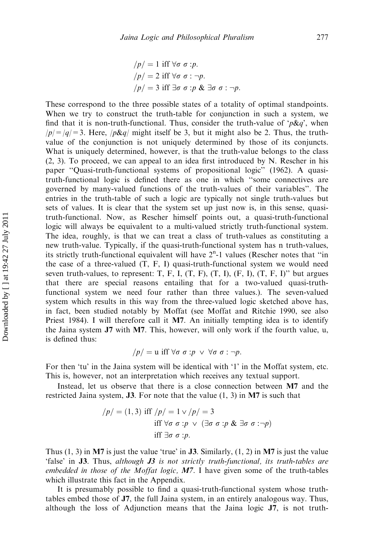$$
/p/ = 1 \text{ iff } \forall \sigma \ \sigma : p.
$$
  
\n
$$
/p/ = 2 \text{ iff } \forall \sigma \ \sigma : \neg p.
$$
  
\n
$$
/p/ = 3 \text{ iff } \exists \sigma \ \sigma : p \ \& \exists \sigma \ \sigma : \neg p.
$$

These correspond to the three possible states of a totality of optimal standpoints. When we try to construct the truth-table for conjunction in such a system, we find that it is non-truth-functional. Thus, consider the truth-value of ' $p\&q$ ', when  $\sqrt{p/}|q|=3$ . Here,  $\sqrt{pq}$  might itself be 3, but it might also be 2. Thus, the truthvalue of the conjunction is not uniquely determined by those of its conjuncts. What is uniquely determined, however, is that the truth-value belongs to the class  $(2, 3)$ . To proceed, we can appeal to an idea first introduced by N. Rescher in his paper ``Quasi-truth-functional systems of propositional logic'' (1962). A quasitruth-functional logic is defined there as one in which "some connectives are governed by many-valued functions of the truth-values of their variables''. The entries in the truth-table of such a logic are typically not single truth-values but sets of values. It is clear that the system set up just now is, in this sense, quasitruth-functional. Now, as Rescher himself points out, a quasi-truth-functional logic will always be equivalent to a multi-valued strictly truth-functional system. The idea, roughly, is that we can treat a class of truth-values as constituting a new truth-value. Typically, if the quasi-truth-functional system has n truth-values, its strictly truth-functional equivalent will have  $2<sup>n</sup>$ -1 values (Rescher notes that "in the case of a three-valued (T, F, I) quasi-truth-functional system we would need seven truth-values, to represent:  $T$ ,  $F$ ,  $I$ ,  $(T, F)$ ,  $(T, I)$ ,  $(F, I)$ ,  $(T, F, I)$ " but argues that there are special reasons entailing that for a two-valued quasi-truthfunctional system we need four rather than three values.). The seven-valued system which results in this way from the three-valued logic sketched above has, in fact, been studied notably by Moffat (see Moffat and Ritchie 1990, see also Priest 1984). I will therefore call it M7. An initially tempting idea is to identify the Jaina system J7 with M7. This, however, will only work if the fourth value, u, is defined thus:

$$
/p/ = u \text{ iff } \forall \sigma \sigma : p \lor \forall \sigma \sigma : \neg p.
$$

For then 'tu' in the Jaina system will be identical with '1' in the Moffat system, etc. This is, however, not an interpretation which receives any textual support.

Instead, let us observe that there is a close connection between M7 and the restricted Jaina system, **J3**. For note that the value  $(1, 3)$  in **M7** is such that

$$
/p/ = (1,3) \text{ iff } /p/ = 1 \vee /p/ = 3
$$
  
iff  $\forall \sigma \sigma : p \vee (\exists \sigma \sigma : p \& \exists \sigma \sigma : \neg p)$   
iff  $\exists \sigma \sigma : p.$ 

Thus  $(1, 3)$  in M7 is just the value 'true' in J3. Similarly,  $(1, 2)$  in M7 is just the value `false' in J3. Thus, although J3 is not strictly truth-functional, its truth-tables are embedded in those of the Moffat logic,  $M$ 7. I have given some of the truth-tables which illustrate this fact in the Appendix.

It is presumably possible to find a quasi-truth-functional system whose truthtables embed those of J7, the full Jaina system, in an entirely analogous way. Thus, although the loss of Adjunction means that the Jaina logic J7, is not truth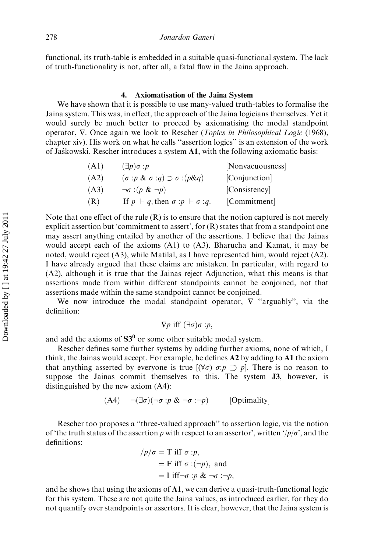functional, its truth-table is embedded in a suitable quasi-functional system. The lack of truth-functionality is not, after all, a fatal flaw in the Jaina approach.

#### 4. Axiomatisation of the Jaina System

We have shown that it is possible to use many-valued truth-tables to formalise the Jaina system. This was, in effect, the approach of the Jaina logicians themselves. Yet it would surely be much better to proceed by axiomatising the modal standpoint operator,  $\nabla$ . Once again we look to Rescher (*Topics in Philosophical Logic* (1968), chapter xiv). His work on what he calls "assertion logics" is an extension of the work of Jaśkowski. Rescher introduces a system A1, with the following axiomatic basis:

| (A1) | $(\exists p)\sigma : p$                                 | [Nonvacuousness] |
|------|---------------------------------------------------------|------------------|
| (A2) | $(\sigma : p \& \sigma : q) \supset \sigma : (p \& q)$  | [Conjunction]    |
| (A3) | $\neg \sigma : (p \& \neg p)$                           | [Consistency]    |
| (R)  | If $p \vdash q$ , then $\sigma : p \vdash \sigma : q$ . | [Commitment]     |

Note that one effect of the rule  $(R)$  is to ensure that the notion captured is not merely explicit assertion but 'commitment to assert', for  $(R)$  states that from a standpoint one may assert anything entailed by another of the assertions. I believe that the Jainas would accept each of the axioms (A1) to (A3). Bharucha and Kamat, it may be noted, would reject (A3), while Matilal, as I have represented him, would reject (A2). I have already argued that these claims are mistaken. In particular, with regard to (A2), although it is true that the Jainas reject Adjunction, what this means is that assertions made from within different standpoints cannot be conjoined, not that assertions made within the same standpoint cannot be conjoined.

We now introduce the modal standpoint operator,  $\nabla$  "arguably", via the definition:

 $\nabla p$  iff  $(\exists \sigma) \sigma : p$ ,

and add the axioms of  $S3<sup>0</sup>$  or some other suitable modal system.

Rescher defines some further systems by adding further axioms, none of which, I think, the Jainas would accept. For example, he defines  $A2$  by adding to  $A1$  the axiom that anything asserted by everyone is true  $[(\forall \sigma) \ \sigma : p \supset p]$ . There is no reason to suppose the Jainas commit themselves to this. The system J3, however, is distinguished by the new axiom (A4):

(A4) 
$$
\neg(\exists \sigma)(\neg \sigma : p \& \neg \sigma : \neg p)
$$
 [Optimality]

Rescher too proposes a "three-valued approach" to assertion logic, via the notion of 'the truth status of the assertion p with respect to an assertor', written ' $/p/\sigma$ ', and the definitions:

$$
/p/\sigma = T \text{ iff } \sigma : p,
$$
  
= F \text{ iff } \sigma : (\neg p), \text{ and}  
= I \text{ iff } \neg \sigma : p \& \neg \sigma : \neg p,

and he shows that using the axioms of A1, we can derive a quasi-truth-functional logic for this system. These are not quite the Jaina values, as introduced earlier, for they do not quantify over standpoints or assertors. It is clear, however, that the Jaina system is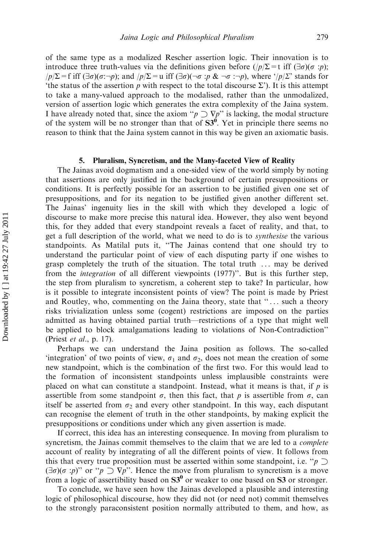of the same type as a modalized Rescher assertion logic. Their innovation is to introduce three truth-values via the definitions given before  $(|p/\Sigma = t$  iff  $(\exists \sigma)(\sigma : p)$ ;  $/p/\Sigma =$  f iff  $(\exists \sigma)(\sigma : \neg p)$ ; and  $/p/\Sigma =$ u iff  $(\exists \sigma)(\neg \sigma : p \& \neg \sigma : \neg p)$ , where  $\neg p/\Sigma$ ' stands for 'the status of the assertion p with respect to the total discourse  $\Sigma'$ ). It is this attempt to take a many-valued approach to the modalised, rather than the unmodalized, version of assertion logic which generates the extra complexity of the Jaina system. I have already noted that, since the axiom " $p \supset \nabla p$ " is lacking, the modal structure of the system will be no stronger than that of  $S3^0$ . Yet in principle there seems no reason to think that the Jaina system cannot in this way be given an axiomatic basis.

#### 5. Pluralism, Syncretism, and the Many-faceted View of Reality

The Jainas avoid dogmatism and a one-sided view of the world simply by noting that assertions are only justified in the background of certain presuppositions or conditions. It is perfectly possible for an assertion to be justified given one set of presuppositions, and for its negation to be justified given another different set. The Jainas' ingenuity lies in the skill with which they developed a logic of discourse to make more precise this natural idea. However, they also went beyond this, for they added that every standpoint reveals a facet of reality, and that, to get a full description of the world, what we need to do is to synthesise the various standpoints. As Matilal puts it, "The Jainas contend that one should try to understand the particular point of view of each disputing party if one wishes to grasp completely the truth of the situation. The total truth . . . may be derived from the integration of all different viewpoints (1977)''. But is this further step, the step from pluralism to syncretism, a coherent step to take? In particular, how is it possible to integrate inconsistent points of view? The point is made by Priest and Routley, who, commenting on the Jaina theory, state that "... such a theory risks trivialization unless some (cogent) restrictions are imposed on the parties admitted as having obtained partial truth—restrictions of a type that might well be applied to block amalgamations leading to violations of Non-Contradiction'' (Priest et al., p. 17).

Perhaps we can understand the Jaina position as follows. The so-called 'integration' of two points of view,  $\sigma_1$  and  $\sigma_2$ , does not mean the creation of some new standpoint, which is the combination of the first two. For this would lead to the formation of inconsistent standpoints unless implausible constraints were placed on what can constitute a standpoint. Instead, what it means is that, if  $p$  is assertible from some standpoint  $\sigma$ , then this fact, that p is assertible from  $\sigma$ , can itself be asserted from  $\sigma_2$  and every other standpoint. In this way, each disputant can recognise the element of truth in the other standpoints, by making explicit the presuppositions or conditions under which any given assertion is made.

If correct, this idea has an interesting consequence. In moving from pluralism to syncretism, the Jainas commit themselves to the claim that we are led to a *complete* account of reality by integrating of all the different points of view. It follows from this that every true proposition must be asserted within some standpoint, i.e. " $p \supset$  $(\exists \sigma)(\sigma : p)$ " or " $p \supset \nabla p$ ". Hence the move from pluralism to syncretism is a move from a logic of assertibility based on  $S3^0$  or weaker to one based on S3 or stronger.

To conclude, we have seen how the Jainas developed a plausible and interesting logic of philosophical discourse, how they did not (or need not) commit themselves to the strongly paraconsistent position normally attributed to them, and how, as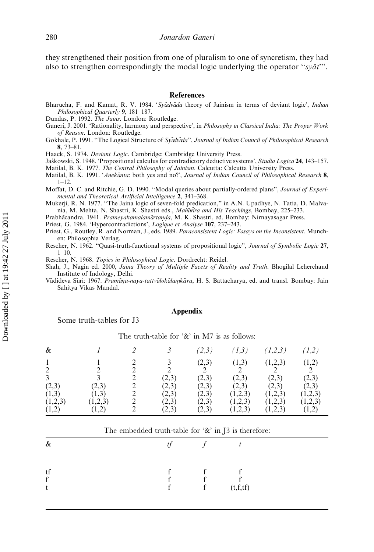they strengthened their position from one of pluralism to one of syncretism, they had also to strengthen correspondingly the modal logic underlying the operator " $s\bar{y}\bar{a}t$ ".

#### References

- Bharucha, F. and Kamat, R. V. 1984. 'Syadvada theory of Jainism in terms of deviant logic', Indian Philosophical Quarterly 9, 181-187.
- Dundas, P. 1992. The Jains. London: Routledge.
- Ganeri, J. 2001. 'Rationality, harmony and perspective', in *Philosophy in Classical India: The Proper Work* of Reason. London: Routledge.
- Gokhale, P. 1991. "The Logical Structure of Syadvada", Journal of Indian Council of Philosophical Research 8, 73±81.
- Haack, S. 1974. Deviant Logic. Cambridge: Cambridge University Press.
- Jaśkowski, S. 1948. 'Propositional calculus for contradictory deductive systems', Studia Logica 24, 143–157.
- Matilal, B. K. 1977. The Central Philosophy of Jainism. Calcutta: Calcutta University Press.
- Matilal, B. K. 1991. *`Anekānta*: both yes and no?', *Journal of Indian Council of Philosophical Research* 8,  $1 - 12$ .
- Moffat, D. C. and Ritchie, G. D. 1990. "Modal queries about partially-ordered plans", Journal of Experimental and Theoretical Artificial Intelligence 2, 341-368.
- Mukerji, R. N. 1977. "The Jaina logic of seven-fold predication," in A.N. Upadhye, N. Tatia, D. Malvara K. IV. 1977. The sama logic of seven fold predication, in T.T.C. epadnye, T.C. Tatal, E. Tion, M. Shastri, K. Shastri eds., *Mahavira and His Teachings*, Bombay, 225–233.
- ma, M. Meha, W. Shastri, R. Shastri cas., Mahama and The Teachings, Bolhody, 229-255.<br>Prabhacandra. 1941. *Prameyakamalamartanda*, M. K. Shastri, ed. Bombay: Nirnayasagar Press.
- Priest, G. 1984. 'Hypercontradictions', Logique et Analyse 107, 237-243.

Priest, G., Routley, R. and Norman, J., eds. 1989. Paraconsistent Logic: Essays on the Inconsistent. Munchen: Philosophia Verlag.

Rescher, N. 1962. "Quasi-truth-functional systems of propositional logic", Journal of Symbolic Logic 27,  $1 - 10.$ 

Rescher, N. 1968. Topics in Philosophical Logic. Dordrecht: Reidel.

- Shah, J., Nagin ed. 2000, Jaina Theory of Multiple Facets of Reality and Truth. Bhogilal Leherchand Institute of Indology, Delhi.
- Vadideva Suri: 1967. *Pramana-naya-tattvalokalamkara*, H. S. Battacharya, ed. and transl. Bombay: Jain Sahitya Vikas Mandal.

#### Appendix

Some truth-tables for J3

| &                                                         |                                    |                                           | (2,3)                                              | (1,3)                                                    | (1,2,3)                                                    | (1,2)                                                  |
|-----------------------------------------------------------|------------------------------------|-------------------------------------------|----------------------------------------------------|----------------------------------------------------------|------------------------------------------------------------|--------------------------------------------------------|
| $\overline{2}$<br>3<br>(2,3)<br>(1,3)<br>(1,2,3)<br>(1,2) | (2,3)<br>(1,3)<br>(1,2,3)<br>(1,2) | (2,3)<br>(2,3)<br>(2,3)<br>(2,3)<br>(2,3) | (2,3)<br>(2,3)<br>(2,3)<br>(2,3)<br>(2,3)<br>(2,3) | (1,3)<br>(2,3)<br>(2,3)<br>(1,2,3)<br>(1,2,3)<br>(1,2,3) | (1,2,3)<br>(2,3)<br>(2,3)<br>(1,2,3)<br>(1,2,3)<br>(1,2,3) | (1,2)<br>(2,3)<br>(2,3)<br>(1,2,3)<br>(1,2,3)<br>(1,2) |

The truth-table for  $\&$  in M7 is as follows:

The embedded truth-table for  $\&$  in J3 is therefore:

| &      |        |        |          |  |
|--------|--------|--------|----------|--|
|        |        |        |          |  |
| tf     |        |        |          |  |
| $\sim$ |        |        |          |  |
|        | $\sim$ | $\int$ | (t,f,tf) |  |